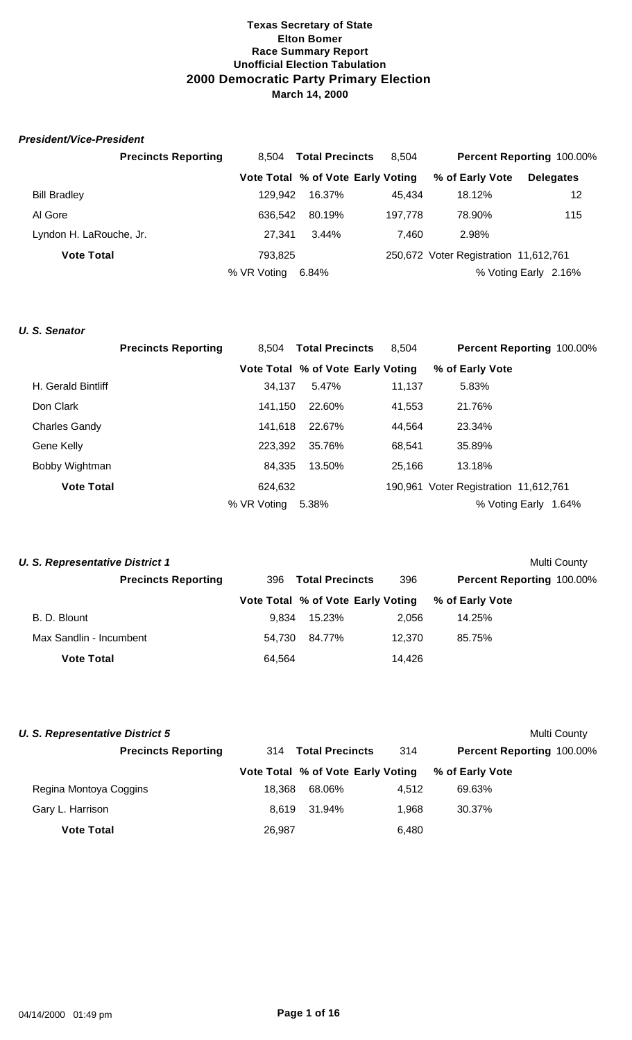# *President/Vice-President*

|                         | <b>Precincts Reporting</b> | 8,504       | <b>Total Precincts</b>            | 8.504   |                                       | <b>Percent Reporting 100.00%</b> |
|-------------------------|----------------------------|-------------|-----------------------------------|---------|---------------------------------------|----------------------------------|
|                         |                            |             | Vote Total % of Vote Early Voting |         | % of Early Vote                       | <b>Delegates</b>                 |
| <b>Bill Bradley</b>     |                            | 129.942     | 16.37%                            | 45.434  | 18.12%                                | 12                               |
| Al Gore                 |                            | 636.542     | 80.19%                            | 197.778 | 78.90%                                | 115                              |
| Lyndon H. LaRouche, Jr. |                            | 27.341      | 3.44%                             | 7.460   | 2.98%                                 |                                  |
| <b>Vote Total</b>       |                            | 793.825     |                                   |         | 250,672 Voter Registration 11,612,761 |                                  |
|                         |                            | % VR Voting | 6.84%                             |         |                                       | % Voting Early 2.16%             |

# *U. S. Senator*

|                      | <b>Precincts Reporting</b> | 8.504       | <b>Total Precincts</b>            | 8.504  | Percent Reporting 100.00%             |
|----------------------|----------------------------|-------------|-----------------------------------|--------|---------------------------------------|
|                      |                            |             | Vote Total % of Vote Early Voting |        | % of Early Vote                       |
| H. Gerald Bintliff   |                            | 34.137      | 5.47%                             | 11,137 | 5.83%                                 |
| Don Clark            |                            | 141.150     | 22.60%                            | 41,553 | 21.76%                                |
| <b>Charles Gandy</b> |                            | 141.618     | 22.67%                            | 44.564 | 23.34%                                |
| Gene Kelly           |                            | 223,392     | 35.76%                            | 68,541 | 35.89%                                |
| Bobby Wightman       |                            | 84.335      | 13.50%                            | 25,166 | 13.18%                                |
| <b>Vote Total</b>    |                            | 624,632     |                                   |        | 190,961 Voter Registration 11,612,761 |
|                      |                            | % VR Voting | 5.38%                             |        | % Voting Early 1.64%                  |

| <b>U. S. Representative District 1</b> |                            |                               |                                   |        |                           | Multi County |
|----------------------------------------|----------------------------|-------------------------------|-----------------------------------|--------|---------------------------|--------------|
|                                        | <b>Precincts Reporting</b> | <b>Total Precincts</b><br>396 |                                   | 396    | Percent Reporting 100.00% |              |
|                                        |                            |                               | Vote Total % of Vote Early Voting |        | % of Early Vote           |              |
| B. D. Blount                           |                            | 9.834                         | 15.23%                            | 2.056  | 14.25%                    |              |
| Max Sandlin - Incumbent                |                            | 54.730                        | 84.77%                            | 12.370 | 85.75%                    |              |
| <b>Vote Total</b>                      |                            | 64,564                        |                                   | 14,426 |                           |              |
|                                        |                            |                               |                                   |        |                           |              |

| <b>U. S. Representative District 5</b> |                     |                                   |       | Multi County                     |  |
|----------------------------------------|---------------------|-----------------------------------|-------|----------------------------------|--|
| <b>Precincts Reporting</b>             | 314 Total Precincts |                                   | 314   | <b>Percent Reporting 100.00%</b> |  |
|                                        |                     | Vote Total % of Vote Early Voting |       | % of Early Vote                  |  |
| Regina Montoya Coggins                 | 18.368              | 68.06%                            | 4.512 | 69.63%                           |  |
| Gary L. Harrison                       | 8.619               | 31.94%                            | 1.968 | 30.37%                           |  |
| <b>Vote Total</b>                      | 26,987              |                                   | 6,480 |                                  |  |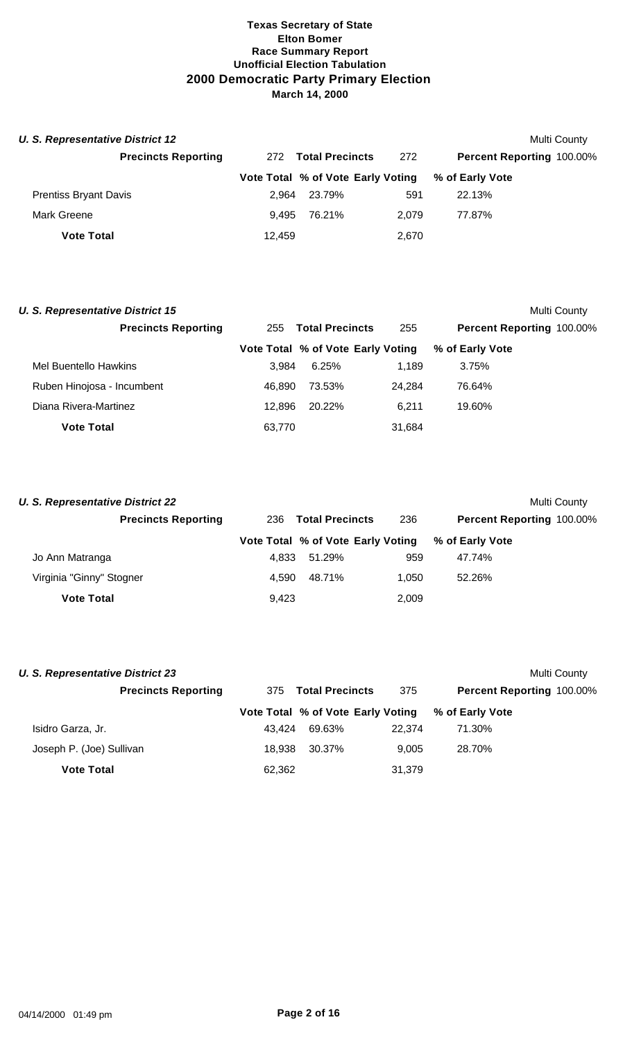| <b>U. S. Representative District 12</b> |        |                                   |       | Multi County              |  |
|-----------------------------------------|--------|-----------------------------------|-------|---------------------------|--|
| <b>Precincts Reporting</b>              | 272    | <b>Total Precincts</b>            | 272   | Percent Reporting 100.00% |  |
|                                         |        | Vote Total % of Vote Early Voting |       | % of Early Vote           |  |
| <b>Prentiss Bryant Davis</b>            | 2.964  | 23.79%                            | 591   | 22.13%                    |  |
| Mark Greene                             | 9.495  | 76.21%                            | 2.079 | 77.87%                    |  |
| <b>Vote Total</b>                       | 12.459 |                                   | 2,670 |                           |  |

| <b>U. S. Representative District 15</b> |                               |                                   |        |                           | Multi County |
|-----------------------------------------|-------------------------------|-----------------------------------|--------|---------------------------|--------------|
| <b>Precincts Reporting</b>              | <b>Total Precincts</b><br>255 |                                   | 255    | Percent Reporting 100.00% |              |
|                                         |                               | Vote Total % of Vote Early Voting |        | % of Early Vote           |              |
| Mel Buentello Hawkins                   | 3.984                         | 6.25%                             | 1.189  | 3.75%                     |              |
| Ruben Hinojosa - Incumbent              | 46.890                        | 73.53%                            | 24.284 | 76.64%                    |              |
| Diana Rivera-Martinez                   | 12.896                        | 20.22%                            | 6.211  | 19.60%                    |              |
| <b>Vote Total</b>                       | 63,770                        |                                   | 31,684 |                           |              |

| <b>U. S. Representative District 22</b> |       |                                   |       | Multi County                     |  |
|-----------------------------------------|-------|-----------------------------------|-------|----------------------------------|--|
| <b>Precincts Reporting</b>              | 236   | <b>Total Precincts</b>            |       | <b>Percent Reporting 100.00%</b> |  |
|                                         |       | Vote Total % of Vote Early Voting |       | % of Early Vote                  |  |
| Jo Ann Matranga                         | 4.833 | 51.29%                            | 959   | 47.74%                           |  |
| Virginia "Ginny" Stogner                | 4.590 | 48.71%                            | 1.050 | 52.26%                           |  |
| <b>Vote Total</b>                       | 9.423 |                                   | 2,009 |                                  |  |

| <b>U. S. Representative District 23</b> |        |                                   |        | Multi County              |
|-----------------------------------------|--------|-----------------------------------|--------|---------------------------|
| <b>Precincts Reporting</b>              | 375    | <b>Total Precincts</b>            | 375    | Percent Reporting 100.00% |
|                                         |        | Vote Total % of Vote Early Voting |        | % of Early Vote           |
| Isidro Garza, Jr.                       | 43.424 | 69.63%                            | 22.374 | 71.30%                    |
| Joseph P. (Joe) Sullivan                | 18.938 | 30.37%                            | 9.005  | 28.70%                    |
| <b>Vote Total</b>                       | 62,362 |                                   | 31,379 |                           |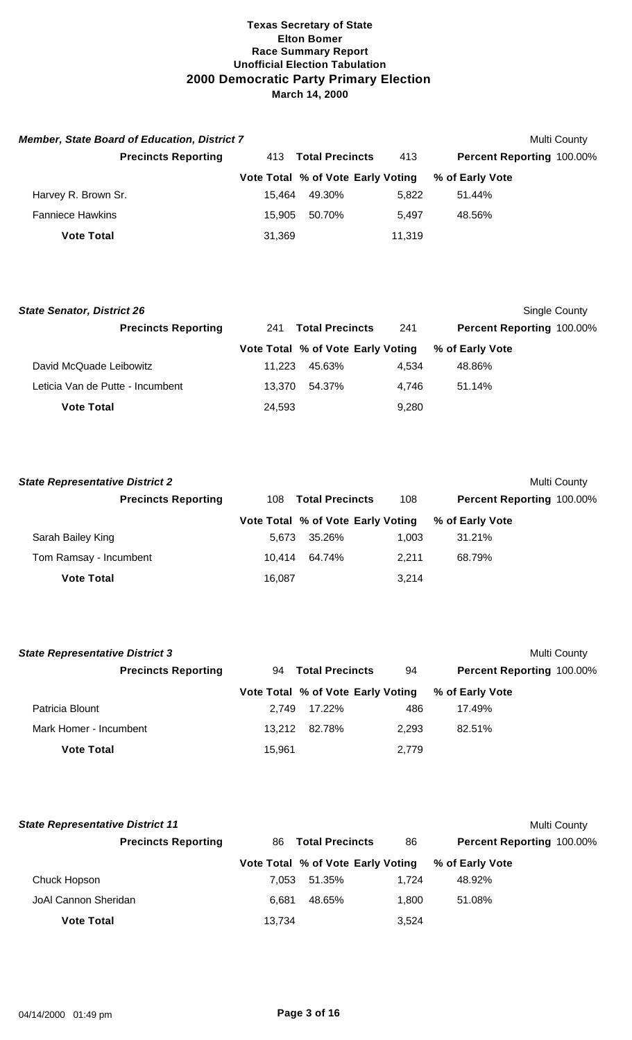| <b>Member, State Board of Education, District 7</b> |        |                                   |        | Multi County                     |
|-----------------------------------------------------|--------|-----------------------------------|--------|----------------------------------|
| <b>Precincts Reporting</b>                          | 413    | <b>Total Precincts</b>            | 413    | <b>Percent Reporting 100.00%</b> |
|                                                     |        | Vote Total % of Vote Early Voting |        | % of Early Vote                  |
| Harvey R. Brown Sr.                                 | 15.464 | 49.30%                            | 5.822  | 51.44%                           |
| <b>Fanniece Hawkins</b>                             | 15.905 | 50.70%                            | 5.497  | 48.56%                           |
| <b>Vote Total</b>                                   | 31,369 |                                   | 11,319 |                                  |

| <b>State Senator, District 26</b> |                               |                                   |       | Single County             |  |
|-----------------------------------|-------------------------------|-----------------------------------|-------|---------------------------|--|
| <b>Precincts Reporting</b>        | <b>Total Precincts</b><br>241 |                                   | 241   | Percent Reporting 100.00% |  |
|                                   |                               | Vote Total % of Vote Early Voting |       | % of Early Vote           |  |
| David McQuade Leibowitz           | 11.223                        | 45.63%                            | 4.534 | 48.86%                    |  |
| Leticia Van de Putte - Incumbent  | 13.370                        | 54.37%                            | 4.746 | 51.14%                    |  |
| <b>Vote Total</b>                 | 24,593                        |                                   | 9.280 |                           |  |

| <b>State Representative District 2</b> |        |                                   |       | Multi County                     |
|----------------------------------------|--------|-----------------------------------|-------|----------------------------------|
| <b>Precincts Reporting</b>             |        | 108 Total Precincts               | 108   | <b>Percent Reporting 100.00%</b> |
|                                        |        | Vote Total % of Vote Early Voting |       | % of Early Vote                  |
| Sarah Bailey King                      | 5.673  | 35.26%                            | 1.003 | 31.21%                           |
| Tom Ramsay - Incumbent                 | 10.414 | 64.74%                            | 2.211 | 68.79%                           |
| <b>Vote Total</b>                      | 16,087 |                                   | 3.214 |                                  |

| <b>State Representative District 3</b> |        |                                   |       | Multi County              |
|----------------------------------------|--------|-----------------------------------|-------|---------------------------|
| <b>Precincts Reporting</b>             |        | 94 Total Precincts                | 94    | Percent Reporting 100.00% |
|                                        |        | Vote Total % of Vote Early Voting |       | % of Early Vote           |
| Patricia Blount                        | 2.749  | 17.22%                            | 486   | 17.49%                    |
| Mark Homer - Incumbent                 | 13.212 | 82.78%                            | 2.293 | 82.51%                    |
| <b>Vote Total</b>                      | 15,961 |                                   | 2,779 |                           |

| <b>State Representative District 11</b> |        |                                   |       |                                  | Multi County |
|-----------------------------------------|--------|-----------------------------------|-------|----------------------------------|--------------|
| <b>Precincts Reporting</b>              | 86.    | <b>Total Precincts</b>            | 86    | <b>Percent Reporting 100.00%</b> |              |
|                                         |        | Vote Total % of Vote Early Voting |       | % of Early Vote                  |              |
| Chuck Hopson                            | 7.053  | 51.35%                            | 1.724 | 48.92%                           |              |
| JoAl Cannon Sheridan                    | 6.681  | 48.65%                            | 1.800 | 51.08%                           |              |
| <b>Vote Total</b>                       | 13.734 |                                   | 3,524 |                                  |              |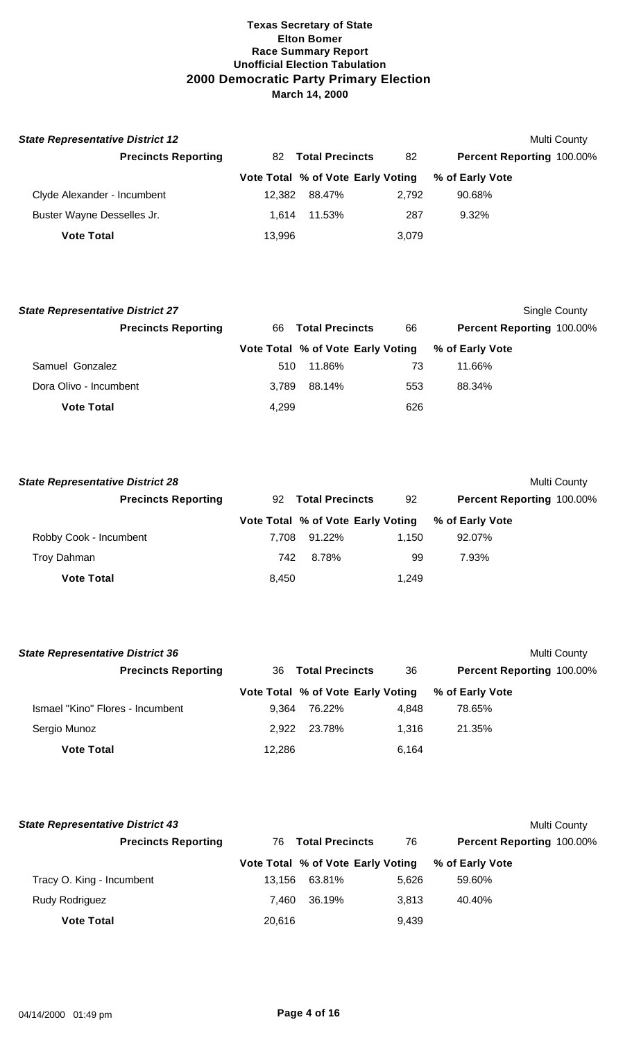| <b>State Representative District 12</b> |        |                                   |       | <b>Multi County</b>              |
|-----------------------------------------|--------|-----------------------------------|-------|----------------------------------|
| <b>Precincts Reporting</b>              |        | 82 Total Precincts                | 82    | <b>Percent Reporting 100.00%</b> |
|                                         |        | Vote Total % of Vote Early Voting |       | % of Early Vote                  |
| Clyde Alexander - Incumbent             | 12.382 | 88.47%                            | 2.792 | 90.68%                           |
| Buster Wayne Desselles Jr.              | 1.614  | 11.53%                            | 287   | 9.32%                            |
| <b>Vote Total</b>                       | 13,996 |                                   | 3,079 |                                  |

| <b>State Representative District 27</b> |       |                                   |     |                           | Single County |
|-----------------------------------------|-------|-----------------------------------|-----|---------------------------|---------------|
| <b>Precincts Reporting</b>              | 66.   | <b>Total Precincts</b>            | 66  | Percent Reporting 100.00% |               |
|                                         |       | Vote Total % of Vote Early Voting |     | % of Early Vote           |               |
| Samuel Gonzalez                         | 510   | 11.86%                            | 73  | 11.66%                    |               |
| Dora Olivo - Incumbent                  | 3.789 | 88.14%                            | 553 | 88.34%                    |               |
| <b>Vote Total</b>                       | 4,299 |                                   | 626 |                           |               |

| <b>State Representative District 28</b> |       |                                   |       | Multi County                     |  |
|-----------------------------------------|-------|-----------------------------------|-------|----------------------------------|--|
| <b>Precincts Reporting</b>              | 92    | <b>Total Precincts</b>            | 92    | <b>Percent Reporting 100.00%</b> |  |
|                                         |       | Vote Total % of Vote Early Voting |       | % of Early Vote                  |  |
| Robby Cook - Incumbent                  | 7.708 | 91.22%                            | 1.150 | 92.07%                           |  |
| Troy Dahman                             | 742   | 8.78%                             | 99    | 7.93%                            |  |
| <b>Vote Total</b>                       | 8,450 |                                   | 1,249 |                                  |  |

| <b>State Representative District 36</b> |        |                                   |       | <b>Multi County</b>       |
|-----------------------------------------|--------|-----------------------------------|-------|---------------------------|
| <b>Precincts Reporting</b>              | 36     | <b>Total Precincts</b>            | 36    | Percent Reporting 100.00% |
|                                         |        | Vote Total % of Vote Early Voting |       | % of Early Vote           |
| Ismael "Kino" Flores - Incumbent        | 9.364  | 76.22%                            | 4.848 | 78.65%                    |
| Sergio Munoz                            | 2.922  | 23.78%                            | 1.316 | 21.35%                    |
| <b>Vote Total</b>                       | 12,286 |                                   | 6.164 |                           |

| <b>State Representative District 43</b> |        |                                   |       |                                  | Multi County |
|-----------------------------------------|--------|-----------------------------------|-------|----------------------------------|--------------|
| <b>Precincts Reporting</b>              | 76.    | <b>Total Precincts</b>            | 76    | <b>Percent Reporting 100.00%</b> |              |
|                                         |        | Vote Total % of Vote Early Voting |       | % of Early Vote                  |              |
| Tracy O. King - Incumbent               | 13.156 | 63.81%                            | 5.626 | 59.60%                           |              |
| <b>Rudy Rodriguez</b>                   | 7.460  | 36.19%                            | 3.813 | 40.40%                           |              |
| <b>Vote Total</b>                       | 20.616 |                                   | 9.439 |                                  |              |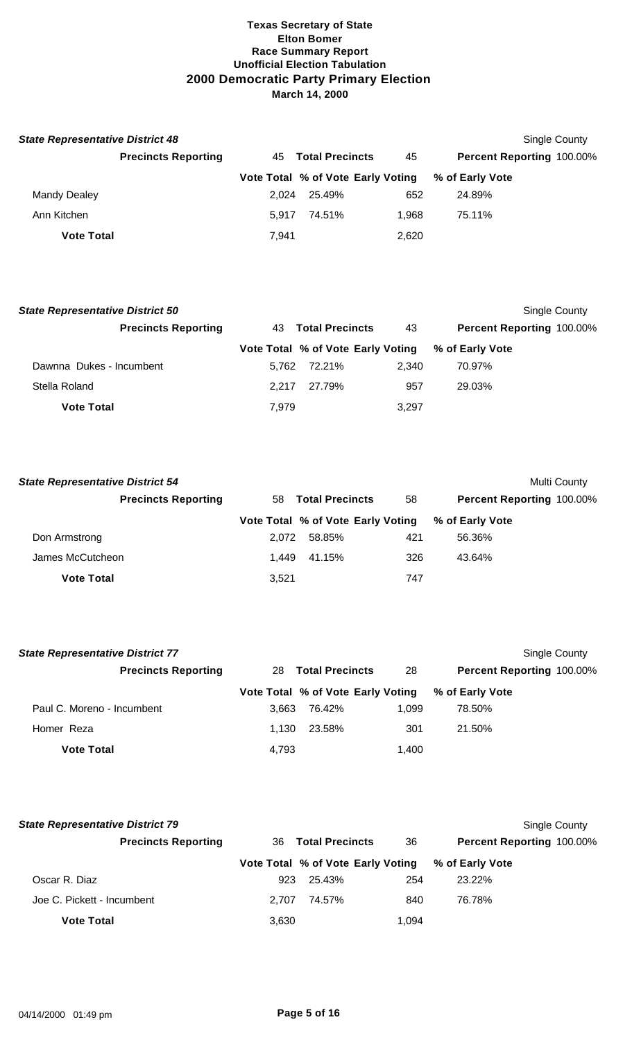| <b>State Representative District 48</b> |                            |       |                                   |       |                 | Single County                    |
|-----------------------------------------|----------------------------|-------|-----------------------------------|-------|-----------------|----------------------------------|
|                                         | <b>Precincts Reporting</b> |       | 45 Total Precincts                | 45    |                 | <b>Percent Reporting 100.00%</b> |
|                                         |                            |       | Vote Total % of Vote Early Voting |       | % of Early Vote |                                  |
| Mandy Dealey                            |                            | 2.024 | 25.49%                            | 652   | 24.89%          |                                  |
| Ann Kitchen                             |                            | 5.917 | 74.51%                            | 1.968 | 75.11%          |                                  |
| <b>Vote Total</b>                       |                            | 7.941 |                                   | 2,620 |                 |                                  |

| <b>State Representative District 50</b> |       |                                   |       | Single County             |
|-----------------------------------------|-------|-----------------------------------|-------|---------------------------|
| <b>Precincts Reporting</b>              | 43.   | <b>Total Precincts</b>            | 43    | Percent Reporting 100.00% |
|                                         |       | Vote Total % of Vote Early Voting |       | % of Early Vote           |
| Dawnna Dukes - Incumbent                | 5.762 | 72.21%                            | 2.340 | 70.97%                    |
| Stella Roland                           | 2.217 | 27.79%                            | 957   | 29.03%                    |
| <b>Vote Total</b>                       | 7,979 |                                   | 3.297 |                           |

| <b>State Representative District 54</b> |       |                                   |     |                           | Multi County |
|-----------------------------------------|-------|-----------------------------------|-----|---------------------------|--------------|
| <b>Precincts Reporting</b>              | 58    | <b>Total Precincts</b>            | 58  | Percent Reporting 100.00% |              |
|                                         |       | Vote Total % of Vote Early Voting |     | % of Early Vote           |              |
| Don Armstrong                           | 2.072 | 58.85%                            | 421 | 56.36%                    |              |
| James McCutcheon                        | 1.449 | 41.15%                            | 326 | 43.64%                    |              |
| <b>Vote Total</b>                       | 3,521 |                                   | 747 |                           |              |

| <b>State Representative District 77</b> |       |                                   |       | Single County             |
|-----------------------------------------|-------|-----------------------------------|-------|---------------------------|
| <b>Precincts Reporting</b>              | 28    | <b>Total Precincts</b>            | 28    | Percent Reporting 100.00% |
|                                         |       | Vote Total % of Vote Early Voting |       | % of Early Vote           |
| Paul C. Moreno - Incumbent              | 3.663 | 76.42%                            | 1.099 | 78.50%                    |
| Homer Reza                              | 1.130 | 23.58%                            | 301   | 21.50%                    |
| <b>Vote Total</b>                       | 4,793 |                                   | 1,400 |                           |

| <b>State Representative District 79</b> |       |                                   |       |                                  | Single County |
|-----------------------------------------|-------|-----------------------------------|-------|----------------------------------|---------------|
| <b>Precincts Reporting</b>              | 36.   | <b>Total Precincts</b>            | 36    | <b>Percent Reporting 100.00%</b> |               |
|                                         |       | Vote Total % of Vote Early Voting |       | % of Early Vote                  |               |
| Oscar R. Diaz                           | 923   | 25.43%                            | 254   | 23.22%                           |               |
| Joe C. Pickett - Incumbent              | 2.707 | 74.57%                            | 840   | 76.78%                           |               |
| <b>Vote Total</b>                       | 3,630 |                                   | 1.094 |                                  |               |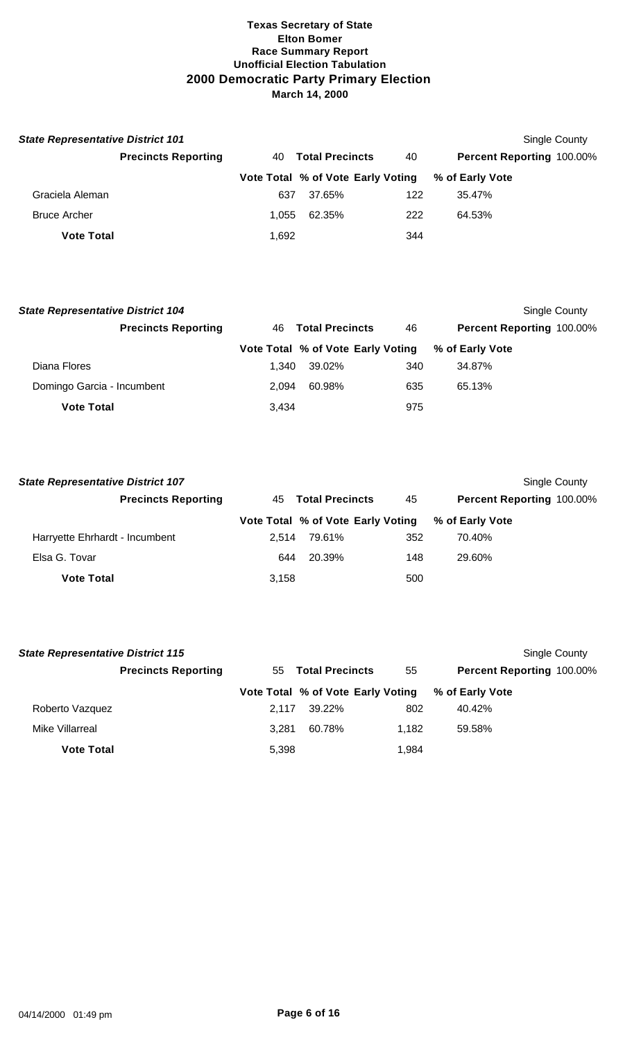| <b>State Representative District 101</b> |                            |       |                                   |     |                                  | Single County |
|------------------------------------------|----------------------------|-------|-----------------------------------|-----|----------------------------------|---------------|
|                                          | <b>Precincts Reporting</b> | 40    | <b>Total Precincts</b>            | 40  | <b>Percent Reporting 100.00%</b> |               |
|                                          |                            |       | Vote Total % of Vote Early Voting |     | % of Early Vote                  |               |
| Graciela Aleman                          |                            | 637   | 37.65%                            | 122 | 35.47%                           |               |
| <b>Bruce Archer</b>                      |                            | 1.055 | 62.35%                            | 222 | 64.53%                           |               |
| <b>Vote Total</b>                        |                            | 1,692 |                                   | 344 |                                  |               |

| <b>State Representative District 104</b> |                            |       |                                   |     |                           | Single County |
|------------------------------------------|----------------------------|-------|-----------------------------------|-----|---------------------------|---------------|
|                                          | <b>Precincts Reporting</b> | 46.   | <b>Total Precincts</b>            | 46  | Percent Reporting 100.00% |               |
|                                          |                            |       | Vote Total % of Vote Early Voting |     | % of Early Vote           |               |
| Diana Flores                             |                            | 1.340 | 39.02%                            | 340 | 34.87%                    |               |
| Domingo Garcia - Incumbent               |                            | 2.094 | 60.98%                            | 635 | 65.13%                    |               |
| <b>Vote Total</b>                        |                            | 3,434 |                                   | 975 |                           |               |

| <b>State Representative District 107</b> |       |                                   |     | Single County             |
|------------------------------------------|-------|-----------------------------------|-----|---------------------------|
| <b>Precincts Reporting</b>               |       | 45 Total Precincts                | 45  | Percent Reporting 100.00% |
|                                          |       | Vote Total % of Vote Early Voting |     | % of Early Vote           |
| Harryette Ehrhardt - Incumbent           | 2.514 | 79.61%                            | 352 | 70.40%                    |
| Elsa G. Tovar                            | 644   | 20.39%                            | 148 | 29.60%                    |
| <b>Vote Total</b>                        | 3,158 |                                   | 500 |                           |

| <b>State Representative District 115</b> |                            |       |                                   |       |                                  | Single County |
|------------------------------------------|----------------------------|-------|-----------------------------------|-------|----------------------------------|---------------|
|                                          | <b>Precincts Reporting</b> |       | 55 Total Precincts                | 55    | <b>Percent Reporting 100.00%</b> |               |
|                                          |                            |       | Vote Total % of Vote Early Voting |       | % of Early Vote                  |               |
| Roberto Vazquez                          |                            | 2.117 | 39.22%                            | 802   | 40.42%                           |               |
| Mike Villarreal                          |                            | 3.281 | 60.78%                            | 1.182 | 59.58%                           |               |
| <b>Vote Total</b>                        |                            | 5,398 |                                   | 1,984 |                                  |               |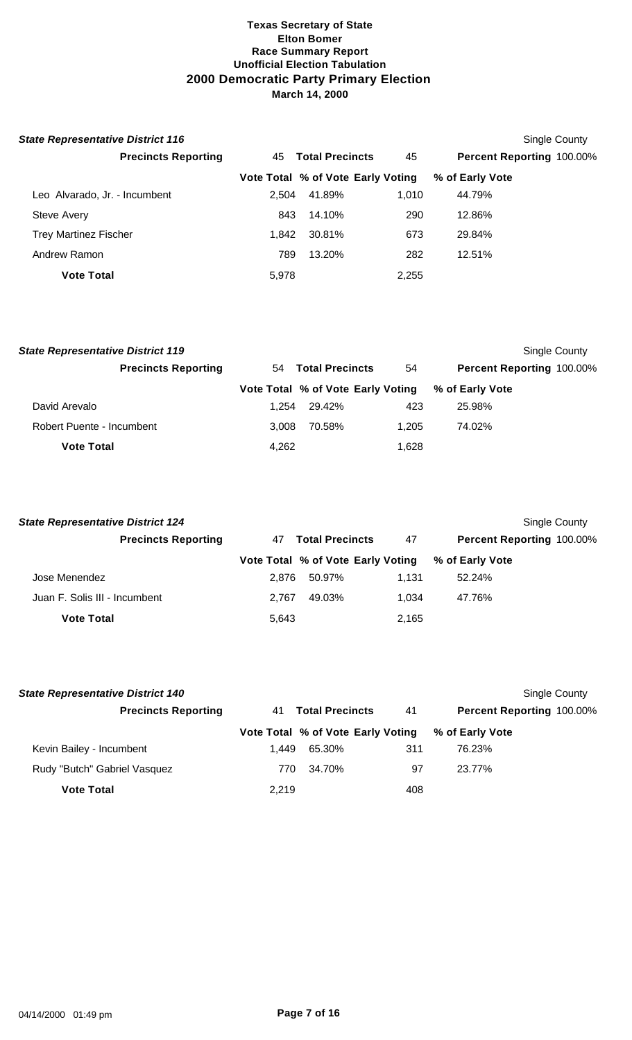| <b>State Representative District 116</b> |       |                                   |       |                           | Single County |
|------------------------------------------|-------|-----------------------------------|-------|---------------------------|---------------|
| <b>Precincts Reporting</b>               | 45    | <b>Total Precincts</b>            | 45    | Percent Reporting 100.00% |               |
|                                          |       | Vote Total % of Vote Early Voting |       | % of Early Vote           |               |
| Leo Alvarado, Jr. - Incumbent            | 2.504 | 41.89%                            | 1.010 | 44.79%                    |               |
| <b>Steve Avery</b>                       | 843   | 14.10%                            | 290   | 12.86%                    |               |
| <b>Trey Martinez Fischer</b>             | 1.842 | 30.81%                            | 673   | 29.84%                    |               |
| Andrew Ramon                             | 789   | 13.20%                            | 282   | 12.51%                    |               |
| <b>Vote Total</b>                        | 5,978 |                                   | 2,255 |                           |               |

| <b>State Representative District 119</b> |       |                                   |       | Single County             |
|------------------------------------------|-------|-----------------------------------|-------|---------------------------|
| <b>Precincts Reporting</b>               | 54    | <b>Total Precincts</b>            | 54    | Percent Reporting 100.00% |
|                                          |       | Vote Total % of Vote Early Voting |       | % of Early Vote           |
| David Arevalo                            | 1.254 | 29.42%                            | 423   | 25.98%                    |
| <b>Robert Puente - Incumbent</b>         | 3.008 | 70.58%                            | 1.205 | 74.02%                    |
| <b>Vote Total</b>                        | 4,262 |                                   | 1,628 |                           |

| <b>State Representative District 124</b> |       |                                   |       | Single County             |
|------------------------------------------|-------|-----------------------------------|-------|---------------------------|
| <b>Precincts Reporting</b>               | 47    | <b>Total Precincts</b>            | 47    | Percent Reporting 100.00% |
|                                          |       | Vote Total % of Vote Early Voting |       | % of Early Vote           |
| Jose Menendez                            | 2.876 | 50.97%                            | 1.131 | 52.24%                    |
| Juan F. Solis III - Incumbent            | 2.767 | 49.03%                            | 1.034 | 47.76%                    |
| <b>Vote Total</b>                        | 5,643 |                                   | 2,165 |                           |

| <b>State Representative District 140</b> |       |                                   |     |                                  | <b>Single County</b> |
|------------------------------------------|-------|-----------------------------------|-----|----------------------------------|----------------------|
| <b>Precincts Reporting</b>               | 41    | <b>Total Precincts</b>            | 41  | <b>Percent Reporting 100.00%</b> |                      |
|                                          |       | Vote Total % of Vote Early Voting |     | % of Early Vote                  |                      |
| Kevin Bailey - Incumbent                 | 1.449 | 65.30%                            | 311 | 76.23%                           |                      |
| Rudy "Butch" Gabriel Vasquez             | 770   | 34.70%                            | 97  | 23.77%                           |                      |
| <b>Vote Total</b>                        | 2.219 |                                   | 408 |                                  |                      |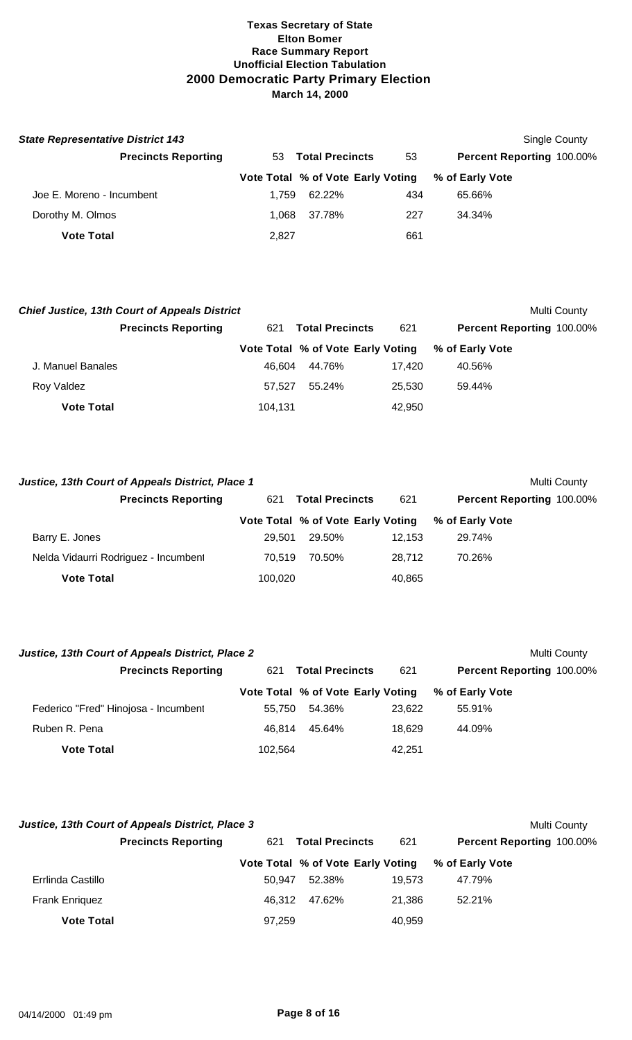| <b>State Representative District 143</b> |       |                                   |     |                           | Single County |
|------------------------------------------|-------|-----------------------------------|-----|---------------------------|---------------|
| <b>Precincts Reporting</b>               | 53.   | <b>Total Precincts</b>            | 53  | Percent Reporting 100.00% |               |
|                                          |       | Vote Total % of Vote Early Voting |     | % of Early Vote           |               |
| Joe E. Moreno - Incumbent                | 1.759 | 62.22%                            | 434 | 65.66%                    |               |
| Dorothy M. Olmos                         | 1.068 | 37.78%                            | 227 | 34.34%                    |               |
| <b>Vote Total</b>                        | 2,827 |                                   | 661 |                           |               |

|                   | <b>Chief Justice, 13th Court of Appeals District</b> |         |                                   |        | Multi County              |
|-------------------|------------------------------------------------------|---------|-----------------------------------|--------|---------------------------|
|                   | <b>Precincts Reporting</b>                           | 621     | <b>Total Precincts</b>            | 621    | Percent Reporting 100.00% |
|                   |                                                      |         | Vote Total % of Vote Early Voting |        | % of Early Vote           |
| J. Manuel Banales |                                                      | 46.604  | 44.76%                            | 17.420 | 40.56%                    |
| Roy Valdez        |                                                      | 57.527  | 55.24%                            | 25.530 | 59.44%                    |
| <b>Vote Total</b> |                                                      | 104,131 |                                   | 42,950 |                           |

| Justice, 13th Court of Appeals District, Place 1 |         |                                   |        | Multi County              |
|--------------------------------------------------|---------|-----------------------------------|--------|---------------------------|
| <b>Precincts Reporting</b>                       | 621     | <b>Total Precincts</b>            | 621    | Percent Reporting 100.00% |
|                                                  |         | Vote Total % of Vote Early Voting |        | % of Early Vote           |
| Barry E. Jones                                   | 29.501  | 29.50%                            | 12.153 | 29.74%                    |
| Nelda Vidaurri Rodriguez - Incumbent             | 70.519  | 70.50%                            | 28.712 | 70.26%                    |
| <b>Vote Total</b>                                | 100.020 |                                   | 40,865 |                           |

| Justice, 13th Court of Appeals District, Place 2 |         |                                   |        | Multi County                     |
|--------------------------------------------------|---------|-----------------------------------|--------|----------------------------------|
| <b>Precincts Reporting</b>                       | 621     | <b>Total Precincts</b>            | 621    | <b>Percent Reporting 100.00%</b> |
|                                                  |         | Vote Total % of Vote Early Voting |        | % of Early Vote                  |
| Federico "Fred" Hinojosa - Incumbent             | 55.750  | 54.36%                            | 23.622 | 55.91%                           |
| Ruben R. Pena                                    | 46.814  | 45.64%                            | 18.629 | 44.09%                           |
| <b>Vote Total</b>                                | 102.564 |                                   | 42,251 |                                  |

|                       | Justice, 13th Court of Appeals District, Place 3 |        |                                   |        |                                  | Multi County |
|-----------------------|--------------------------------------------------|--------|-----------------------------------|--------|----------------------------------|--------------|
|                       | <b>Precincts Reporting</b>                       | 621    | <b>Total Precincts</b>            | 621    | <b>Percent Reporting 100.00%</b> |              |
|                       |                                                  |        | Vote Total % of Vote Early Voting |        | % of Early Vote                  |              |
| Errlinda Castillo     |                                                  | 50.947 | 52.38%                            | 19.573 | 47.79%                           |              |
| <b>Frank Enriquez</b> |                                                  | 46.312 | 47.62%                            | 21.386 | 52.21%                           |              |
| <b>Vote Total</b>     |                                                  | 97.259 |                                   | 40.959 |                                  |              |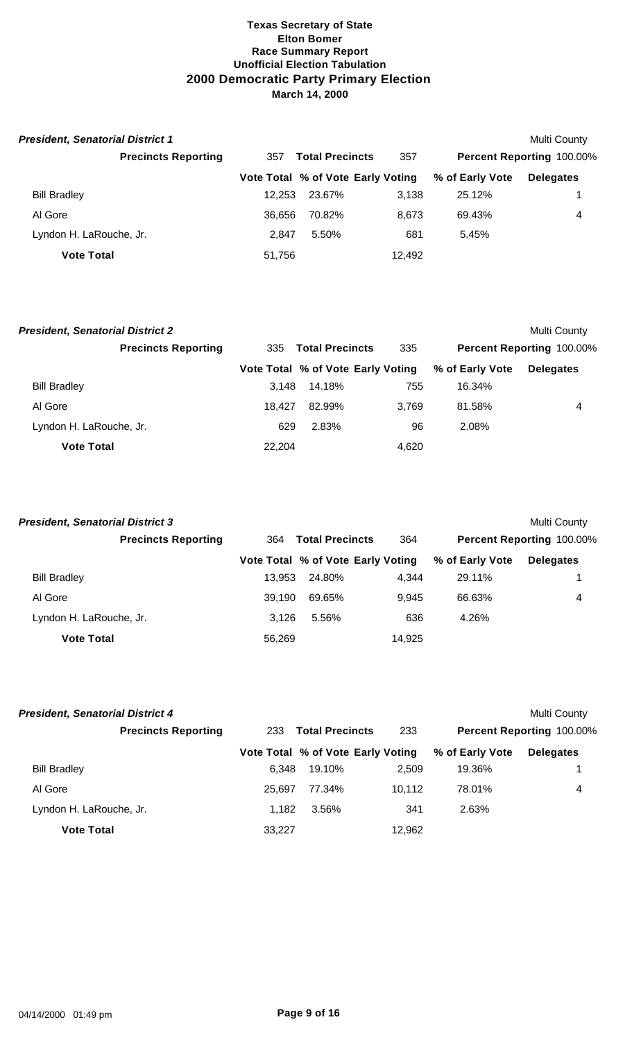| <b>President, Senatorial District 1</b> |        |                                   |        |                 | Multi County                     |
|-----------------------------------------|--------|-----------------------------------|--------|-----------------|----------------------------------|
| <b>Precincts Reporting</b>              | 357    | <b>Total Precincts</b>            | 357    |                 | <b>Percent Reporting 100.00%</b> |
|                                         |        | Vote Total % of Vote Early Voting |        | % of Early Vote | <b>Delegates</b>                 |
| <b>Bill Bradley</b>                     | 12.253 | 23.67%                            | 3,138  | 25.12%          |                                  |
| Al Gore                                 | 36.656 | 70.82%                            | 8.673  | 69.43%          | 4                                |
| Lyndon H. LaRouche, Jr.                 | 2.847  | 5.50%                             | 681    | 5.45%           |                                  |
| <b>Vote Total</b>                       | 51,756 |                                   | 12,492 |                 |                                  |

| <b>President, Senatorial District 2</b> |        |                                   |       |                 | <b>Multi County</b>       |
|-----------------------------------------|--------|-----------------------------------|-------|-----------------|---------------------------|
| <b>Precincts Reporting</b>              | 335    | <b>Total Precincts</b>            | 335   |                 | Percent Reporting 100.00% |
|                                         |        | Vote Total % of Vote Early Voting |       | % of Early Vote | <b>Delegates</b>          |
| <b>Bill Bradley</b>                     | 3.148  | 14.18%                            | 755   | 16.34%          |                           |
| Al Gore                                 | 18.427 | 82.99%                            | 3.769 | 81.58%          | 4                         |
| Lyndon H. LaRouche, Jr.                 | 629    | 2.83%                             | 96    | 2.08%           |                           |
| <b>Vote Total</b>                       | 22.204 |                                   | 4.620 |                 |                           |

| <b>President, Senatorial District 3</b> |        |                                   |        |                 | Multi County              |
|-----------------------------------------|--------|-----------------------------------|--------|-----------------|---------------------------|
| <b>Precincts Reporting</b>              | 364    | <b>Total Precincts</b>            | 364    |                 | Percent Reporting 100.00% |
|                                         |        | Vote Total % of Vote Early Voting |        | % of Early Vote | <b>Delegates</b>          |
| <b>Bill Bradley</b>                     | 13.953 | 24.80%                            | 4.344  | 29.11%          |                           |
| Al Gore                                 | 39.190 | 69.65%                            | 9.945  | 66.63%          | 4                         |
| Lyndon H. LaRouche, Jr.                 | 3.126  | 5.56%                             | 636    | 4.26%           |                           |
| <b>Vote Total</b>                       | 56,269 |                                   | 14,925 |                 |                           |

| <b>President, Senatorial District 4</b> |                            |        |                                   |        |                 | Multi County                     |
|-----------------------------------------|----------------------------|--------|-----------------------------------|--------|-----------------|----------------------------------|
|                                         | <b>Precincts Reporting</b> | 233    | <b>Total Precincts</b>            | 233    |                 | <b>Percent Reporting 100.00%</b> |
|                                         |                            |        | Vote Total % of Vote Early Voting |        | % of Early Vote | <b>Delegates</b>                 |
| <b>Bill Bradley</b>                     |                            | 6.348  | 19.10%                            | 2.509  | 19.36%          |                                  |
| Al Gore                                 |                            | 25.697 | 77.34%                            | 10.112 | 78.01%          | 4                                |
| Lyndon H. LaRouche, Jr.                 |                            | 1.182  | 3.56%                             | 341    | 2.63%           |                                  |
| <b>Vote Total</b>                       |                            | 33.227 |                                   | 12,962 |                 |                                  |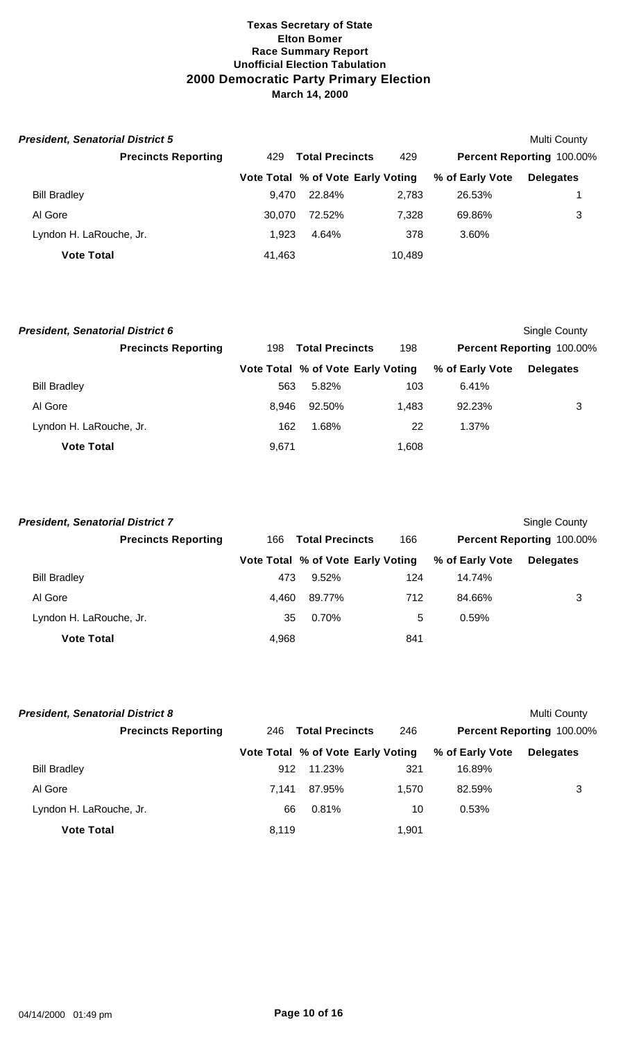| <b>President, Senatorial District 5</b> |        |                                   |        |                 | Multi County                     |
|-----------------------------------------|--------|-----------------------------------|--------|-----------------|----------------------------------|
| <b>Precincts Reporting</b>              | 429    | <b>Total Precincts</b>            | 429    |                 | <b>Percent Reporting 100.00%</b> |
|                                         |        | Vote Total % of Vote Early Voting |        | % of Early Vote | <b>Delegates</b>                 |
| <b>Bill Bradley</b>                     | 9.470  | 22.84%                            | 2.783  | 26.53%          |                                  |
| Al Gore                                 | 30.070 | 72.52%                            | 7.328  | 69.86%          | 3                                |
| Lyndon H. LaRouche, Jr.                 | 1.923  | 4.64%                             | 378    | 3.60%           |                                  |
| <b>Vote Total</b>                       | 41,463 |                                   | 10,489 |                 |                                  |

| <b>President, Senatorial District 6</b> |       |                                   |       |                 | Single County             |
|-----------------------------------------|-------|-----------------------------------|-------|-----------------|---------------------------|
| <b>Precincts Reporting</b>              | 198   | <b>Total Precincts</b>            | 198   |                 | Percent Reporting 100.00% |
|                                         |       | Vote Total % of Vote Early Voting |       | % of Early Vote | <b>Delegates</b>          |
| <b>Bill Bradley</b>                     | 563   | 5.82%                             | 103   | 6.41%           |                           |
| Al Gore                                 | 8.946 | 92.50%                            | 1,483 | 92.23%          | 3                         |
| Lyndon H. LaRouche, Jr.                 | 162   | 1.68%                             | 22    | 1.37%           |                           |
| <b>Vote Total</b>                       | 9,671 |                                   | 1.608 |                 |                           |

| <b>President, Senatorial District 7</b> |       |                                   |     |                 | Single County             |
|-----------------------------------------|-------|-----------------------------------|-----|-----------------|---------------------------|
| <b>Precincts Reporting</b>              | 166   | <b>Total Precincts</b>            | 166 |                 | Percent Reporting 100.00% |
|                                         |       | Vote Total % of Vote Early Voting |     | % of Early Vote | <b>Delegates</b>          |
| <b>Bill Bradley</b>                     | 473   | 9.52%                             | 124 | 14.74%          |                           |
| Al Gore                                 | 4.460 | 89.77%                            | 712 | 84.66%          | 3                         |
| Lyndon H. LaRouche, Jr.                 | 35    | 0.70%                             | 5   | 0.59%           |                           |
| <b>Vote Total</b>                       | 4,968 |                                   | 841 |                 |                           |

| <b>President, Senatorial District 8</b> |       |                                   |       |                 | Multi County                     |
|-----------------------------------------|-------|-----------------------------------|-------|-----------------|----------------------------------|
| <b>Precincts Reporting</b>              | 246   | <b>Total Precincts</b>            | 246   |                 | <b>Percent Reporting 100.00%</b> |
|                                         |       | Vote Total % of Vote Early Voting |       | % of Early Vote | <b>Delegates</b>                 |
| <b>Bill Bradley</b>                     | 912   | 11.23%                            | 321   | 16.89%          |                                  |
| Al Gore                                 | 7.141 | 87.95%                            | 1.570 | 82.59%          | 3                                |
| Lyndon H. LaRouche, Jr.                 | 66    | 0.81%                             | 10    | 0.53%           |                                  |
| <b>Vote Total</b>                       | 8,119 |                                   | 1.901 |                 |                                  |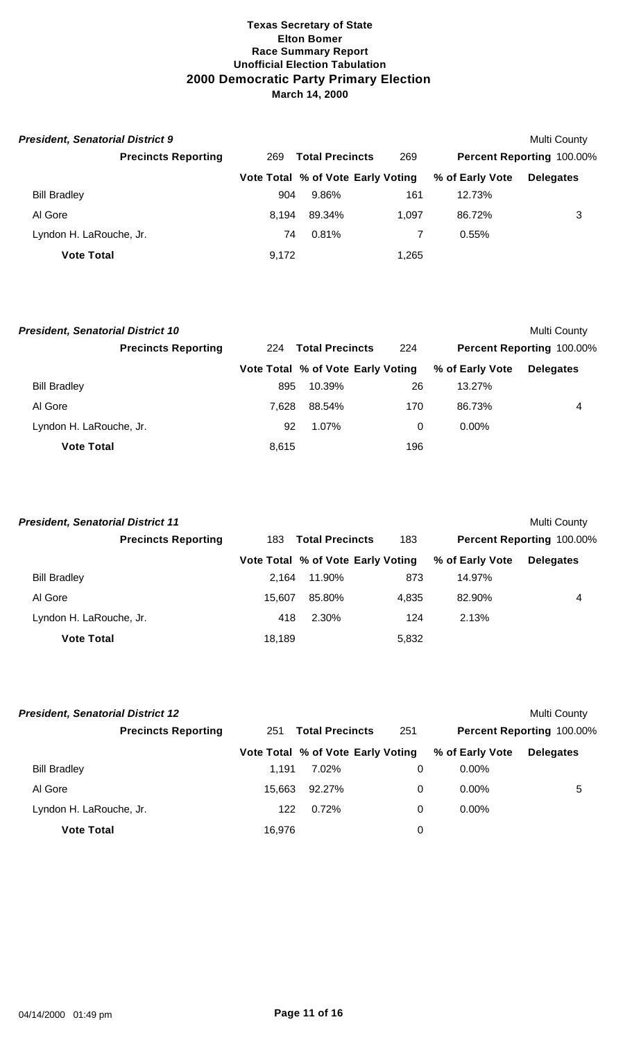| <b>President, Senatorial District 9</b> |       |                                   |       |                 | Multi County                     |
|-----------------------------------------|-------|-----------------------------------|-------|-----------------|----------------------------------|
| <b>Precincts Reporting</b>              | 269   | <b>Total Precincts</b>            | 269   |                 | <b>Percent Reporting 100.00%</b> |
|                                         |       | Vote Total % of Vote Early Voting |       | % of Early Vote | <b>Delegates</b>                 |
| <b>Bill Bradley</b>                     | 904   | 9.86%                             | 161   | 12.73%          |                                  |
| Al Gore                                 | 8.194 | 89.34%                            | 1.097 | 86.72%          | 3                                |
| Lyndon H. LaRouche, Jr.                 | 74    | $0.81\%$                          |       | 0.55%           |                                  |
| <b>Vote Total</b>                       | 9,172 |                                   | 1,265 |                 |                                  |

| <b>President, Senatorial District 10</b> |       |                                   |     |                 | <b>Multi County</b>       |
|------------------------------------------|-------|-----------------------------------|-----|-----------------|---------------------------|
| <b>Precincts Reporting</b>               | 224   | <b>Total Precincts</b>            | 224 |                 | Percent Reporting 100.00% |
|                                          |       | Vote Total % of Vote Early Voting |     | % of Early Vote | <b>Delegates</b>          |
| <b>Bill Bradley</b>                      | 895   | 10.39%                            | 26  | 13.27%          |                           |
| Al Gore                                  | 7.628 | 88.54%                            | 170 | 86.73%          | 4                         |
| Lyndon H. LaRouche, Jr.                  | 92    | 1.07%                             | 0   | $0.00\%$        |                           |
| <b>Vote Total</b>                        | 8,615 |                                   | 196 |                 |                           |

| <b>President, Senatorial District 11</b> |        |                                   |       |                 | Multi County              |
|------------------------------------------|--------|-----------------------------------|-------|-----------------|---------------------------|
| <b>Precincts Reporting</b>               | 183    | <b>Total Precincts</b>            | 183   |                 | Percent Reporting 100.00% |
|                                          |        | Vote Total % of Vote Early Voting |       | % of Early Vote | <b>Delegates</b>          |
| <b>Bill Bradley</b>                      | 2.164  | 11.90%                            | 873   | 14.97%          |                           |
| Al Gore                                  | 15.607 | 85.80%                            | 4.835 | 82.90%          | 4                         |
| Lyndon H. LaRouche, Jr.                  | 418    | 2.30%                             | 124   | 2.13%           |                           |
| <b>Vote Total</b>                        | 18,189 |                                   | 5,832 |                 |                           |

| <b>President, Senatorial District 12</b> |        |                                   |     |                 | Multi County              |
|------------------------------------------|--------|-----------------------------------|-----|-----------------|---------------------------|
| <b>Precincts Reporting</b>               | 251    | <b>Total Precincts</b>            | 251 |                 | Percent Reporting 100.00% |
|                                          |        | Vote Total % of Vote Early Voting |     | % of Early Vote | <b>Delegates</b>          |
| <b>Bill Bradley</b>                      | 1.191  | 7.02%                             | 0   | $0.00\%$        |                           |
| Al Gore                                  | 15.663 | 92.27%                            | 0   | $0.00\%$        | 5                         |
| Lyndon H. LaRouche, Jr.                  | 122    | 0.72%                             | 0   | $0.00\%$        |                           |
| <b>Vote Total</b>                        | 16,976 |                                   | 0   |                 |                           |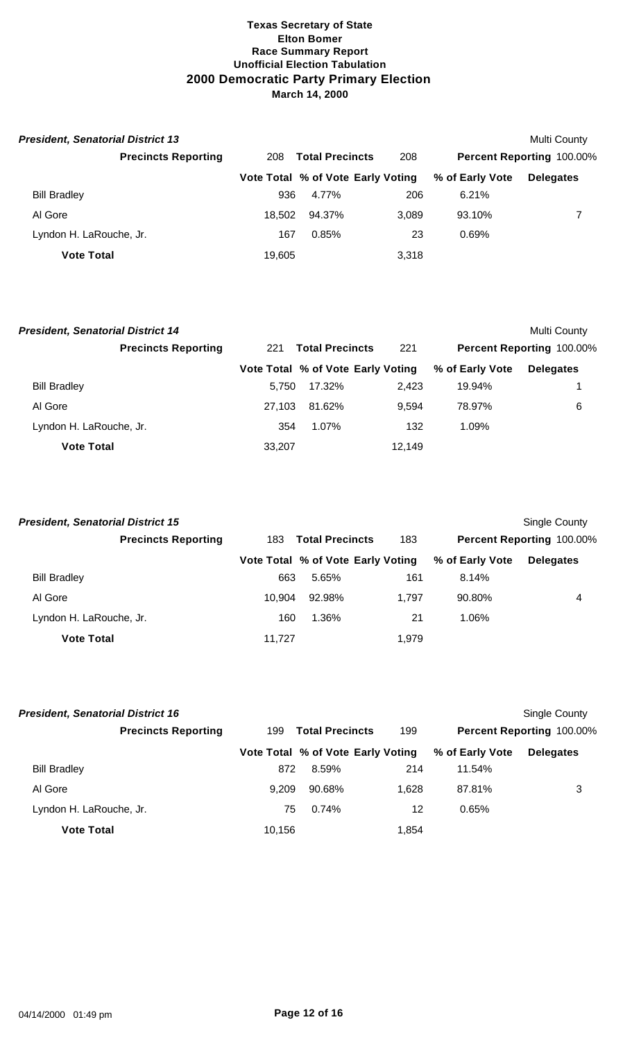| <b>President, Senatorial District 13</b> |        |                                   |       |                 | Multi County              |
|------------------------------------------|--------|-----------------------------------|-------|-----------------|---------------------------|
| <b>Precincts Reporting</b>               | 208    | <b>Total Precincts</b>            | 208   |                 | Percent Reporting 100.00% |
|                                          |        | Vote Total % of Vote Early Voting |       | % of Early Vote | <b>Delegates</b>          |
| <b>Bill Bradley</b>                      | 936    | 4.77%                             | 206   | 6.21%           |                           |
| Al Gore                                  | 18.502 | 94.37%                            | 3.089 | 93.10%          |                           |
| Lyndon H. LaRouche, Jr.                  | 167    | 0.85%                             | 23    | 0.69%           |                           |
| <b>Vote Total</b>                        | 19,605 |                                   | 3,318 |                 |                           |

| <b>President, Senatorial District 14</b> |     |                                   |        |                 |                           | Multi County |
|------------------------------------------|-----|-----------------------------------|--------|-----------------|---------------------------|--------------|
| <b>Precincts Reporting</b>               | 221 | <b>Total Precincts</b>            | 221    |                 | Percent Reporting 100.00% |              |
|                                          |     | Vote Total % of Vote Early Voting |        | % of Early Vote | <b>Delegates</b>          |              |
| <b>Bill Bradley</b>                      |     | 5.750                             | 17.32% | 2.423           | 19.94%                    |              |
| Al Gore                                  |     | 27.103                            | 81.62% | 9.594           | 78.97%                    | 6            |
| Lyndon H. LaRouche, Jr.                  |     | 354                               | 1.07%  | 132             | 1.09%                     |              |
| <b>Vote Total</b>                        |     | 33,207                            |        | 12.149          |                           |              |

| <b>President, Senatorial District 15</b> |        |                                   |       |                 | Single County             |
|------------------------------------------|--------|-----------------------------------|-------|-----------------|---------------------------|
| <b>Precincts Reporting</b>               | 183    | <b>Total Precincts</b>            | 183   |                 | Percent Reporting 100.00% |
|                                          |        | Vote Total % of Vote Early Voting |       | % of Early Vote | <b>Delegates</b>          |
| <b>Bill Bradley</b>                      | 663    | 5.65%                             | 161   | 8.14%           |                           |
| Al Gore                                  | 10.904 | 92.98%                            | 1.797 | 90.80%          | 4                         |
| Lyndon H. LaRouche, Jr.                  | 160    | 1.36%                             | 21    | 1.06%           |                           |
| <b>Vote Total</b>                        | 11.727 |                                   | 1.979 |                 |                           |

| <b>President, Senatorial District 16</b> |        |                                   |       |                 | Single County                    |
|------------------------------------------|--------|-----------------------------------|-------|-----------------|----------------------------------|
| <b>Precincts Reporting</b>               | 199    | <b>Total Precincts</b>            | 199   |                 | <b>Percent Reporting 100.00%</b> |
|                                          |        | Vote Total % of Vote Early Voting |       | % of Early Vote | <b>Delegates</b>                 |
| <b>Bill Bradley</b>                      | 872    | 8.59%                             | 214   | 11.54%          |                                  |
| Al Gore                                  | 9.209  | 90.68%                            | 1.628 | 87.81%          | 3                                |
| Lyndon H. LaRouche, Jr.                  | 75     | 0.74%                             | 12    | 0.65%           |                                  |
| <b>Vote Total</b>                        | 10,156 |                                   | 1,854 |                 |                                  |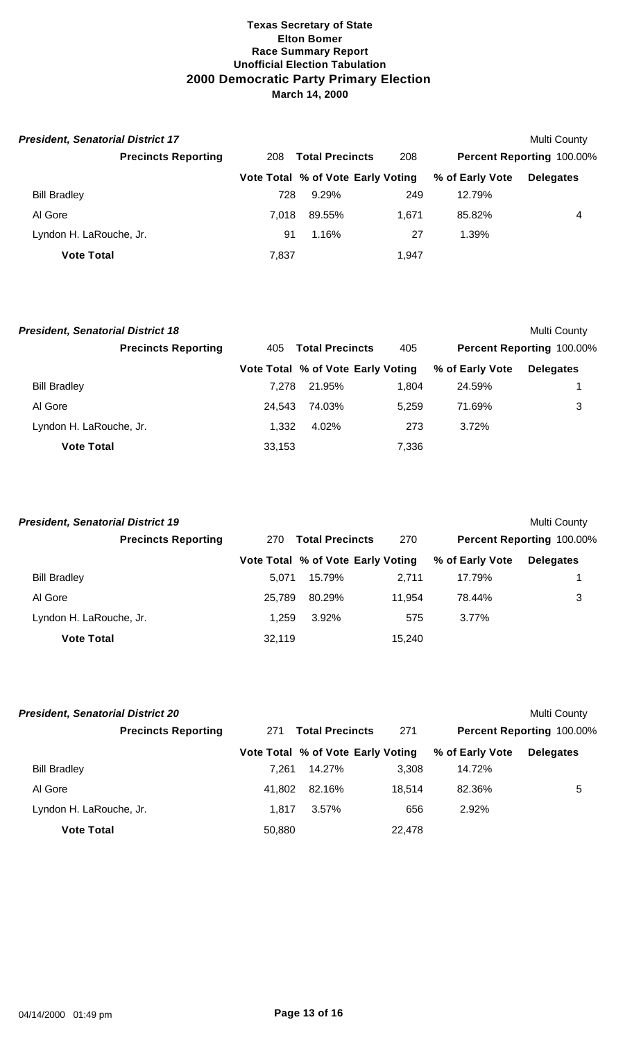| <b>President, Senatorial District 17</b> |       |                                   |       |                 | Multi County                     |
|------------------------------------------|-------|-----------------------------------|-------|-----------------|----------------------------------|
| <b>Precincts Reporting</b>               | 208   | <b>Total Precincts</b>            | 208   |                 | <b>Percent Reporting 100.00%</b> |
|                                          |       | Vote Total % of Vote Early Voting |       | % of Early Vote | <b>Delegates</b>                 |
| <b>Bill Bradley</b>                      | 728   | $9.29\%$                          | 249   | 12.79%          |                                  |
| Al Gore                                  | 7.018 | 89.55%                            | 1.671 | 85.82%          | 4                                |
| Lyndon H. LaRouche, Jr.                  | 91    | 1.16%                             | 27    | 1.39%           |                                  |
| <b>Vote Total</b>                        | 7,837 |                                   | 1,947 |                 |                                  |

| <b>President, Senatorial District 18</b> |        |                                   |       |                 | Multi County              |
|------------------------------------------|--------|-----------------------------------|-------|-----------------|---------------------------|
| <b>Precincts Reporting</b>               | 405    | <b>Total Precincts</b>            | 405   |                 | Percent Reporting 100.00% |
|                                          |        | Vote Total % of Vote Early Voting |       | % of Early Vote | <b>Delegates</b>          |
| <b>Bill Bradley</b>                      | 7.278  | 21.95%                            | 1.804 | 24.59%          |                           |
| Al Gore                                  | 24.543 | 74.03%                            | 5.259 | 71.69%          | 3                         |
| Lyndon H. LaRouche, Jr.                  | 1.332  | 4.02%                             | 273   | 3.72%           |                           |
| <b>Vote Total</b>                        | 33,153 |                                   | 7,336 |                 |                           |

| <b>President, Senatorial District 19</b> |        |                                   |        |                 | Multi County              |
|------------------------------------------|--------|-----------------------------------|--------|-----------------|---------------------------|
| <b>Precincts Reporting</b>               | 270    | <b>Total Precincts</b>            | 270    |                 | Percent Reporting 100.00% |
|                                          |        | Vote Total % of Vote Early Voting |        | % of Early Vote | <b>Delegates</b>          |
| <b>Bill Bradley</b>                      | 5.071  | 15.79%                            | 2.711  | 17.79%          |                           |
| Al Gore                                  | 25.789 | 80.29%                            | 11.954 | 78.44%          | 3                         |
| Lyndon H. LaRouche, Jr.                  | 1.259  | 3.92%                             | 575    | 3.77%           |                           |
| <b>Vote Total</b>                        | 32.119 |                                   | 15,240 |                 |                           |

| <b>President, Senatorial District 20</b> |        |                                   |        |                 | Multi County                     |
|------------------------------------------|--------|-----------------------------------|--------|-----------------|----------------------------------|
| <b>Precincts Reporting</b>               | 271    | <b>Total Precincts</b>            | 271    |                 | <b>Percent Reporting 100.00%</b> |
|                                          |        | Vote Total % of Vote Early Voting |        | % of Early Vote | <b>Delegates</b>                 |
| <b>Bill Bradley</b>                      | 7.261  | 14.27%                            | 3.308  | 14.72%          |                                  |
| Al Gore                                  | 41.802 | 82.16%                            | 18.514 | 82.36%          | 5                                |
| Lyndon H. LaRouche, Jr.                  | 1.817  | 3.57%                             | 656    | 2.92%           |                                  |
| <b>Vote Total</b>                        | 50,880 |                                   | 22,478 |                 |                                  |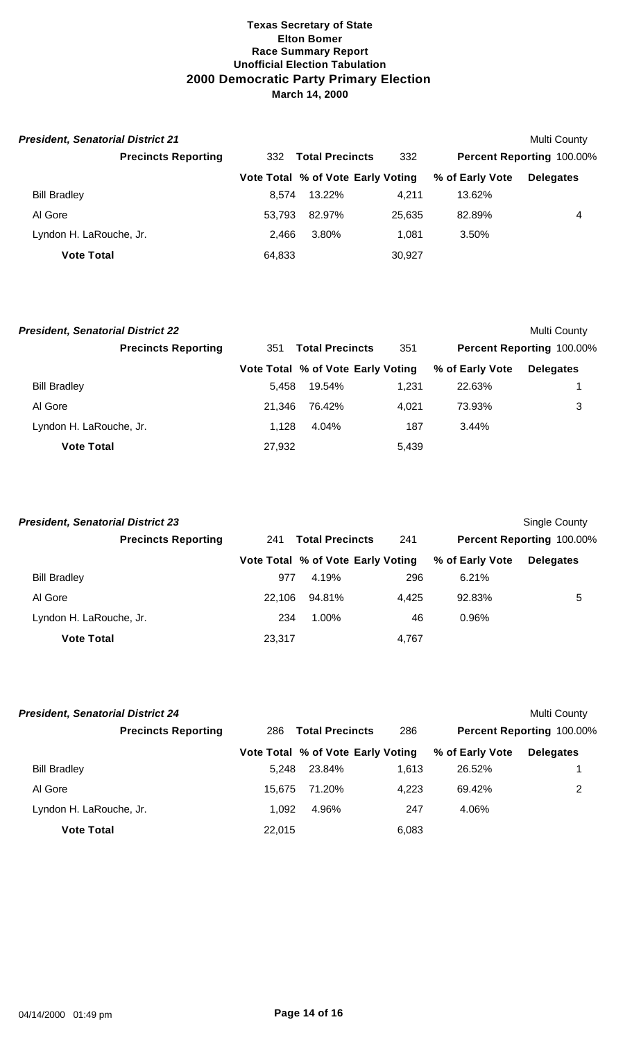| <b>President, Senatorial District 21</b> |        |                                   |        |                           | Multi County     |  |
|------------------------------------------|--------|-----------------------------------|--------|---------------------------|------------------|--|
| <b>Precincts Reporting</b>               | 332    | <b>Total Precincts</b><br>332     |        | Percent Reporting 100.00% |                  |  |
|                                          |        | Vote Total % of Vote Early Voting |        | % of Early Vote           | <b>Delegates</b> |  |
| <b>Bill Bradley</b>                      | 8.574  | 13.22%                            | 4.211  | 13.62%                    |                  |  |
| Al Gore                                  | 53.793 | 82.97%                            | 25,635 | 82.89%                    | 4                |  |
| Lyndon H. LaRouche, Jr.                  | 2.466  | 3.80%                             | 1.081  | 3.50%                     |                  |  |
| <b>Vote Total</b>                        | 64,833 |                                   | 30,927 |                           |                  |  |

| <b>President, Senatorial District 22</b> |        |                                   |       |                 | Multi County              |
|------------------------------------------|--------|-----------------------------------|-------|-----------------|---------------------------|
| <b>Precincts Reporting</b>               | 351    | <b>Total Precincts</b>            | 351   |                 | Percent Reporting 100.00% |
|                                          |        | Vote Total % of Vote Early Voting |       | % of Early Vote | <b>Delegates</b>          |
| <b>Bill Bradley</b>                      | 5.458  | 19.54%                            | 1,231 | 22.63%          |                           |
| Al Gore                                  | 21.346 | 76.42%                            | 4.021 | 73.93%          | 3                         |
| Lyndon H. LaRouche, Jr.                  | 1.128  | 4.04%                             | 187   | $3.44\%$        |                           |
| <b>Vote Total</b>                        | 27,932 |                                   | 5,439 |                 |                           |

| <b>President, Senatorial District 23</b> |        |                                   |       |                 | Single County             |
|------------------------------------------|--------|-----------------------------------|-------|-----------------|---------------------------|
| <b>Precincts Reporting</b>               | 241    | <b>Total Precincts</b>            | 241   |                 | Percent Reporting 100.00% |
|                                          |        | Vote Total % of Vote Early Voting |       | % of Early Vote | <b>Delegates</b>          |
| <b>Bill Bradley</b>                      | 977    | 4.19%                             | 296   | 6.21%           |                           |
| Al Gore                                  | 22.106 | 94.81%                            | 4,425 | 92.83%          | 5                         |
| Lyndon H. LaRouche, Jr.                  | 234    | 1.00%                             | 46    | 0.96%           |                           |
| <b>Vote Total</b>                        | 23,317 |                                   | 4,767 |                 |                           |

| <b>President, Senatorial District 24</b> |                               |                                   |       |                           | Multi County     |  |
|------------------------------------------|-------------------------------|-----------------------------------|-------|---------------------------|------------------|--|
| <b>Precincts Reporting</b>               | <b>Total Precincts</b><br>286 |                                   | 286   | Percent Reporting 100.00% |                  |  |
|                                          |                               | Vote Total % of Vote Early Voting |       | % of Early Vote           | <b>Delegates</b> |  |
| <b>Bill Bradley</b>                      | 5.248                         | 23.84%                            | 1.613 | 26.52%                    |                  |  |
| Al Gore                                  | 15.675                        | 71.20%                            | 4.223 | 69.42%                    | 2                |  |
| Lyndon H. LaRouche, Jr.                  | 1.092                         | 4.96%                             | 247   | 4.06%                     |                  |  |
| <b>Vote Total</b>                        | 22.015                        |                                   | 6,083 |                           |                  |  |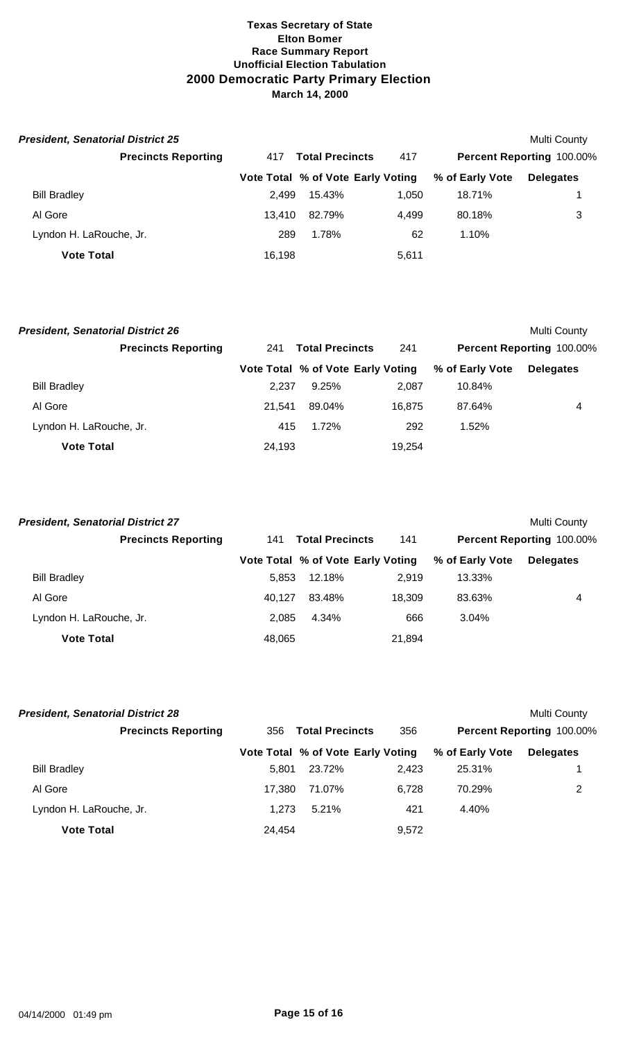| <b>President, Senatorial District 25</b> |        |                                   |       |                 | Multi County              |
|------------------------------------------|--------|-----------------------------------|-------|-----------------|---------------------------|
| <b>Precincts Reporting</b>               | 417    | <b>Total Precincts</b>            | 417   |                 | Percent Reporting 100.00% |
|                                          |        | Vote Total % of Vote Early Voting |       | % of Early Vote | <b>Delegates</b>          |
| <b>Bill Bradley</b>                      | 2.499  | 15.43%                            | 1.050 | 18.71%          |                           |
| Al Gore                                  | 13.410 | 82.79%                            | 4.499 | 80.18%          | 3                         |
| Lyndon H. LaRouche, Jr.                  | 289    | 1.78%                             | 62    | 1.10%           |                           |
| <b>Vote Total</b>                        | 16,198 |                                   | 5,611 |                 |                           |

| <b>President, Senatorial District 26</b> |                            |        |                                   |        |                 | Multi County              |
|------------------------------------------|----------------------------|--------|-----------------------------------|--------|-----------------|---------------------------|
|                                          | <b>Precincts Reporting</b> | 241    | <b>Total Precincts</b>            | 241    |                 | Percent Reporting 100.00% |
|                                          |                            |        | Vote Total % of Vote Early Voting |        | % of Early Vote | <b>Delegates</b>          |
| <b>Bill Bradley</b>                      |                            | 2.237  | 9.25%                             | 2.087  | 10.84%          |                           |
| Al Gore                                  |                            | 21.541 | 89.04%                            | 16.875 | 87.64%          | 4                         |
| Lyndon H. LaRouche, Jr.                  |                            | 415    | 1.72%                             | 292    | 1.52%           |                           |
| <b>Vote Total</b>                        |                            | 24,193 |                                   | 19.254 |                 |                           |

| <b>President, Senatorial District 27</b> |        |                                   |        |                           | Multi County     |
|------------------------------------------|--------|-----------------------------------|--------|---------------------------|------------------|
| <b>Precincts Reporting</b>               | 141    | <b>Total Precincts</b>            |        | Percent Reporting 100.00% |                  |
|                                          |        | Vote Total % of Vote Early Voting |        | % of Early Vote           | <b>Delegates</b> |
| <b>Bill Bradley</b>                      | 5.853  | 12.18%                            | 2.919  | 13.33%                    |                  |
| Al Gore                                  | 40.127 | 83.48%                            | 18.309 | 83.63%                    | 4                |
| Lyndon H. LaRouche, Jr.                  | 2.085  | 4.34%                             | 666    | 3.04%                     |                  |
| <b>Vote Total</b>                        | 48,065 |                                   | 21,894 |                           |                  |

| <b>President, Senatorial District 28</b> |        |                                   |       |                 | Multi County                     |
|------------------------------------------|--------|-----------------------------------|-------|-----------------|----------------------------------|
| <b>Precincts Reporting</b>               | 356    | <b>Total Precincts</b>            | 356   |                 | <b>Percent Reporting 100.00%</b> |
|                                          |        | Vote Total % of Vote Early Voting |       | % of Early Vote | <b>Delegates</b>                 |
| <b>Bill Bradley</b>                      | 5.801  | 23.72%                            | 2.423 | 25.31%          |                                  |
| Al Gore                                  | 17.380 | 71.07%                            | 6.728 | 70.29%          | 2                                |
| Lyndon H. LaRouche, Jr.                  | 1.273  | 5.21%                             | 421   | 4.40%           |                                  |
| <b>Vote Total</b>                        | 24.454 |                                   | 9.572 |                 |                                  |